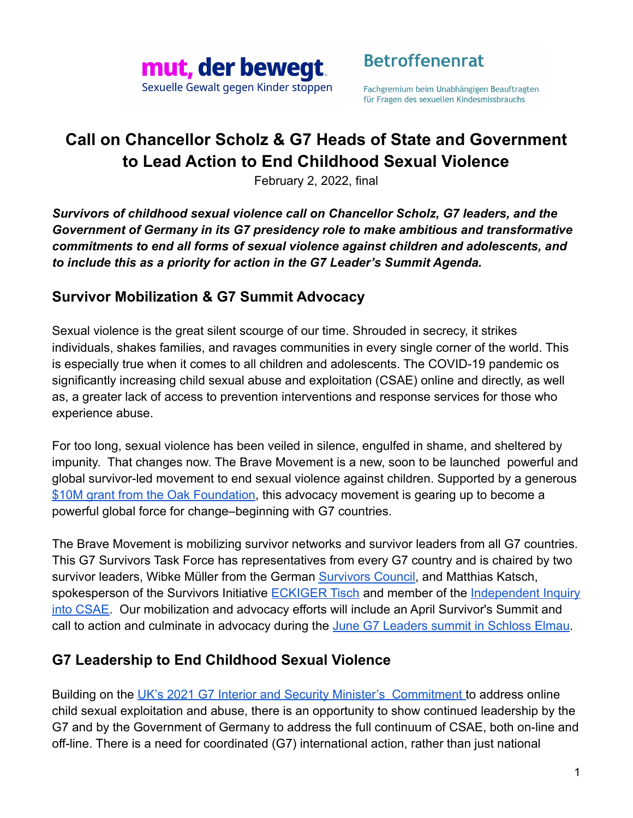

**Betroffenenrat** 

Fachgremium beim Unabhängigen Beauftragten für Fragen des sexuellen Kindesmissbrauchs

# **Call on Chancellor Scholz & G7 Heads of State and Government to Lead Action to End Childhood Sexual Violence**

February 2, 2022, final

*Survivors of childhood sexual violence call on Chancellor Scholz, G7 leaders, and the Government of Germany in its G7 presidency role to make ambitious and transformative commitments to end all forms of sexual violence against children and adolescents, and to include this as a priority for action in the G7 Leader's Summit Agenda.*

#### **Survivor Mobilization & G7 Summit Advocacy**

Sexual violence is the great silent scourge of our time. Shrouded in secrecy, it strikes individuals, shakes families, and ravages communities in every single corner of the world. This is especially true when it comes to all children and adolescents. The COVID-19 pandemic os significantly increasing child sexual abuse and exploitation (CSAE) online and directly, as well as, a greater lack of access to prevention interventions and response services for those who experience abuse.

For too long, sexual violence has been veiled in silence, engulfed in shame, and sheltered by impunity. That changes now. The Brave Movement is a new, soon to be launched powerful and global survivor-led movement to end sexual violence against children. Supported by a generous [\\$10M grant from the Oak Foundation](https://oakfnd.org/usd-10-3-million-grant-awarded-to-together-for-girls/#:~:text=Prevent%20Child%20Sexual%20Abuse&text=Oak%20Foundation%20will%20grant%20USD,special%20attention%20to%20sexual%20violence.), this advocacy movement is gearing up to become a powerful global force for change–beginning with G7 countries.

The Brave Movement is mobilizing survivor networks and survivor leaders from all G7 countries. This G7 Survivors Task Force has representatives from every G7 country and is chaired by two survivor leaders, Wibke Müller from the German [Survivors](https://beauftragter-missbrauch.de/ueber-uns/gremien/betroffenenrat/betroffenenrat-beim-ubskm) Council, and Matthias Katsch, spokesperson of the Survivors Initiative **[ECKIGER Tisch](https://www.eckiger-tisch.de)** and member of the *[Independent Inquiry](https://www.aufarbeitungskommission.de/english/)* [into CSAE.](https://www.aufarbeitungskommission.de/english/) Our mobilization and advocacy efforts will include an April Survivor's Summit and call to action and culminate in advocacy during the [June G7 Leaders summit in Schloss Elmau](https://www.bundesregierung.de/breg-en/search/g7-at-schloss-elmau-1991596).

### **G7 Leadership to End Childhood Sexual Violence**

Building on the [UK's 2021 G7 Interior and Security](https://www.g7uk.org/wp-content/uploads/2021/09/G7-London-Interior-Commitments-Annex-2-Protecting-against-Online-Exploitation-Violence-and-Abuse-PDF-192KB-4-pages.pdf) Minister's Commitment to address online child sexual exploitation and abuse, there is an opportunity to show continued leadership by the G7 and by the Government of Germany to address the full continuum of CSAE, both on-line and off-line. There is a need for coordinated (G7) international action, rather than just national